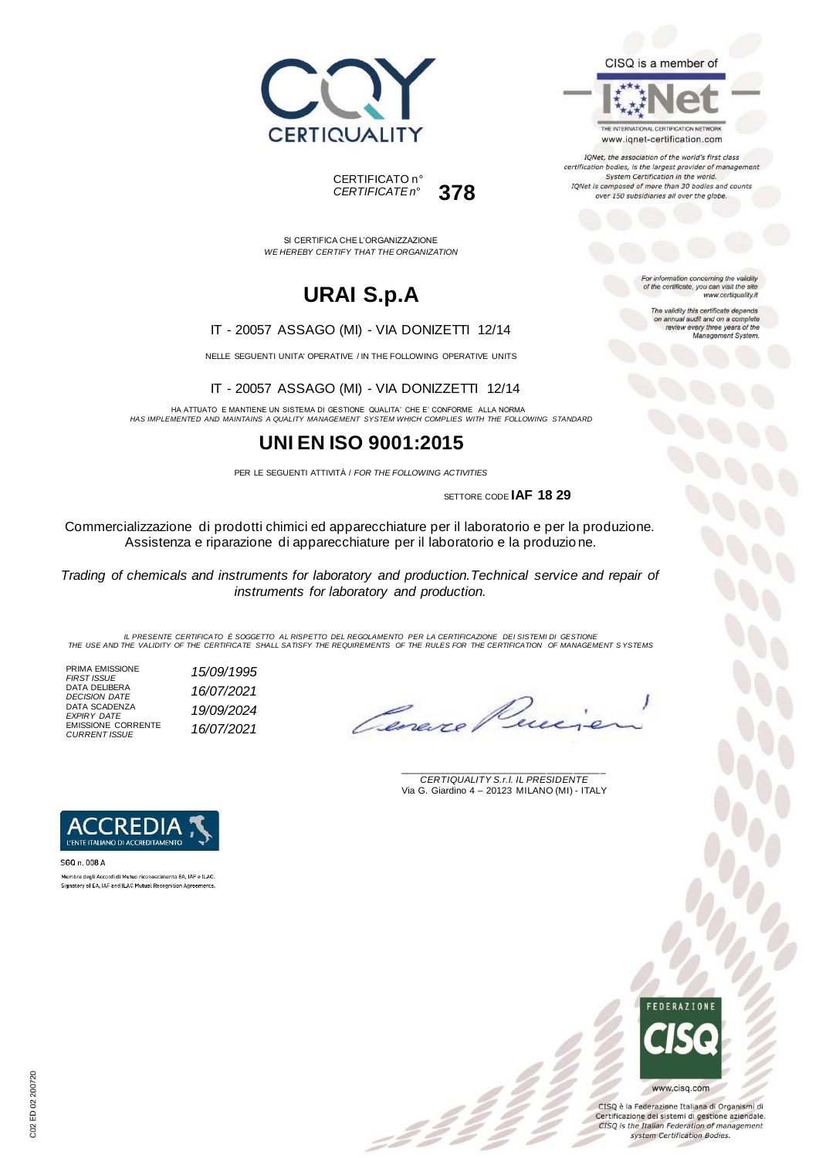



SI CERTIFICA CHE L'ORGANIZZAZIONE

# **URAI S.p.A**

*WE HEREBY CERTIFY THAT THE ORGANIZATION*

#### IT - 20057 ASSAGO (MI) - VIA DONIZETTI 12/14

NELLE SEGUENTI UNITA' OPERATIVE / IN THE FOLLOWING OPERATIVE UNITS

IT - 20057 ASSAGO (MI) - VIA DONIZZETTI 12/14

HA ATTUATO E MANTIENE UN SISTEMA DI GESTIONE QUALITA' CHE E' CONFORME ALLA NORMA *HAS IMPLEMENTED AND MAINTAINS A QUALITY MANAGEMENT SYSTEM WHICH COMPLIES WITH THE FOLLOWING STANDARD*

## **UNI EN ISO 9001:2015**

PER LE SEGUENTI ATTIVITÀ / *FOR THE FOLLOWING ACTIVITIES*

SETTORE CODE **IAF 18 29**

Commercializzazione di prodotti chimici ed apparecchiature per il laboratorio e per la produzione. Assistenza e riparazione di apparecchiature per il laboratorio e la produzio ne.

*Trading of chemicals and instruments for laboratory and production.Technical service and repair of instruments for laboratory and production.*

IL PRESENTE CERTIFICATO E SOGGETTO AL RISPETTO DEL REGOLAMENTO PER LA CERTIFICAZIONE DEI SISTEMI DI GESTIONE<br>THE USE AND THE VALIDITY OF THE CERTIFICATE SHALL SATISFY THE REQUIREMENTS OF THE RULES FOR THE CERTIFICATION OF

PRIMA EMISSIONE *FIRST ISSUE 15/09/1995* DATA DELIBERA *DECISION DATE 16/07/2021* DATA SCADENZA *EXPIRY DATE 19/09/2024* EMISSIONE CORRENTE *CURRENT ISSUE 16/07/2021*

Cerexe

\_\_\_\_\_\_\_\_\_\_\_\_\_\_\_\_\_\_\_\_\_\_\_\_\_\_\_\_\_\_\_\_\_\_\_\_\_\_\_ *CERTIQUALITY S.r.l. IL PRESIDENTE* Via G. Giardino 4 – 20123 MILANO (MI) - ITALY



SGQ n. 008 A Membro degli Accordi di Mutuo riconoscimento EA, IAF e ILAC. Signatory of EA, IAF and ILAC Mutual Recognition Agreements



CISQ è la Federazione Italiana di Organismi di Certificazione dei sistemi di gestione aziendale. CISQ is the Italian Federation of management system Certification Bodies.



THE INTERNATIONAL CERTIFICATION NETWORK www.iqnet-certification.com

IQNet, the association of the world's first class certification bodies, is the largest provider of managem System Certification in the world. IQNet is composed of more than 30 bodies and counts over 150 subsidiaries all over the globe.

> For information concerning the validity<br>of the certificate, you can visit the site www.certiquality.it

> > The validity this certificate depends on annual audit and on a complete<br>review every three years of the<br>Management System.